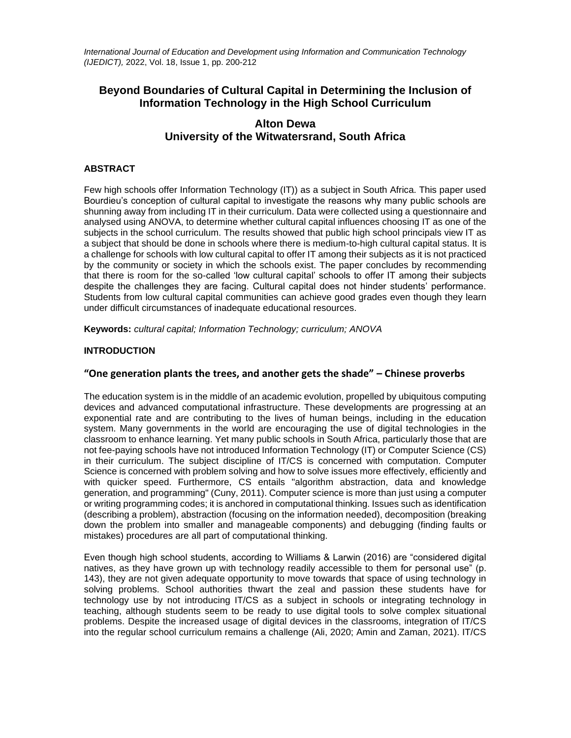*International Journal of Education and Development using Information and Communication Technology (IJEDICT),* 2022, Vol. 18, Issue 1, pp. 200-212

# **Beyond Boundaries of Cultural Capital in Determining the Inclusion of Information Technology in the High School Curriculum**

# **Alton Dewa University of the Witwatersrand, South Africa**

### **ABSTRACT**

Few high schools offer Information Technology (IT)) as a subject in South Africa. This paper used Bourdieu's conception of cultural capital to investigate the reasons why many public schools are shunning away from including IT in their curriculum. Data were collected using a questionnaire and analysed using ANOVA, to determine whether cultural capital influences choosing IT as one of the subjects in the school curriculum. The results showed that public high school principals view IT as a subject that should be done in schools where there is medium-to-high cultural capital status. It is a challenge for schools with low cultural capital to offer IT among their subjects as it is not practiced by the community or society in which the schools exist. The paper concludes by recommending that there is room for the so-called 'low cultural capital' schools to offer IT among their subjects despite the challenges they are facing. Cultural capital does not hinder students' performance. Students from low cultural capital communities can achieve good grades even though they learn under difficult circumstances of inadequate educational resources.

**Keywords:** *cultural capital; Information Technology; curriculum; ANOVA*

### **INTRODUCTION**

# **"One generation plants the trees, and another gets the shade" – Chinese proverbs**

The education system is in the middle of an academic evolution, propelled by ubiquitous computing devices and advanced computational infrastructure. These developments are progressing at an exponential rate and are contributing to the lives of human beings, including in the education system. Many governments in the world are encouraging the use of digital technologies in the classroom to enhance learning. Yet many public schools in South Africa, particularly those that are not fee-paying schools have not introduced Information Technology (IT) or Computer Science (CS) in their curriculum. The subject discipline of IT/CS is concerned with computation. Computer Science is concerned with problem solving and how to solve issues more effectively, efficiently and with quicker speed. Furthermore, CS entails "algorithm abstraction, data and knowledge generation, and programming" (Cuny, 2011). Computer science is more than just using a computer or writing programming codes; it is anchored in computational thinking. Issues such as identification (describing a problem), abstraction (focusing on the information needed), decomposition (breaking down the problem into smaller and manageable components) and debugging (finding faults or mistakes) procedures are all part of computational thinking.

Even though high school students, according to Williams & Larwin (2016) are "considered digital natives, as they have grown up with technology readily accessible to them for personal use" (p. 143), they are not given adequate opportunity to move towards that space of using technology in solving problems. School authorities thwart the zeal and passion these students have for technology use by not introducing IT/CS as a subject in schools or integrating technology in teaching, although students seem to be ready to use digital tools to solve complex situational problems. Despite the increased usage of digital devices in the classrooms, integration of IT/CS into the regular school curriculum remains a challenge (Ali, 2020; Amin and Zaman, 2021). IT/CS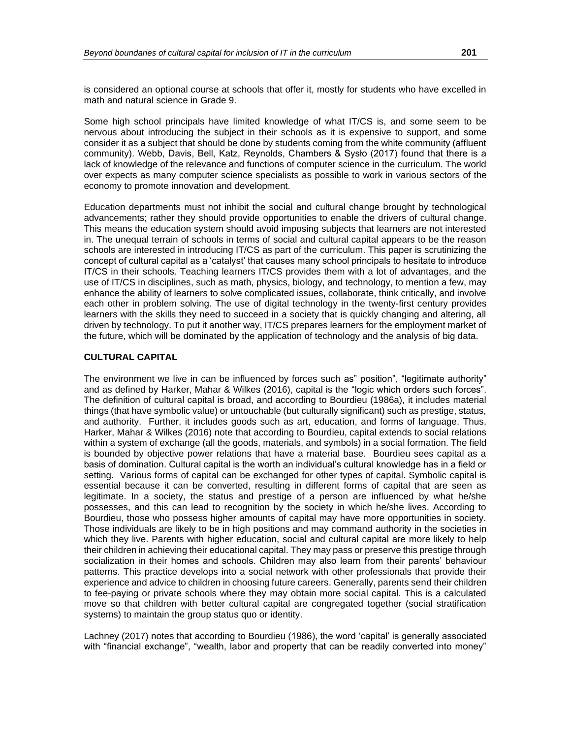is considered an optional course at schools that offer it, mostly for students who have excelled in math and natural science in Grade 9.

Some high school principals have limited knowledge of what IT/CS is, and some seem to be nervous about introducing the subject in their schools as it is expensive to support, and some consider it as a subject that should be done by students coming from the white community (affluent community). Webb, Davis, Bell, Katz, Reynolds, Chambers & Sysło (2017) found that there is a lack of knowledge of the relevance and functions of computer science in the curriculum. The world over expects as many computer science specialists as possible to work in various sectors of the economy to promote innovation and development.

Education departments must not inhibit the social and cultural change brought by technological advancements; rather they should provide opportunities to enable the drivers of cultural change. This means the education system should avoid imposing subjects that learners are not interested in. The unequal terrain of schools in terms of social and cultural capital appears to be the reason schools are interested in introducing IT/CS as part of the curriculum. This paper is scrutinizing the concept of cultural capital as a 'catalyst' that causes many school principals to hesitate to introduce IT/CS in their schools. Teaching learners IT/CS provides them with a lot of advantages, and the use of IT/CS in disciplines, such as math, physics, biology, and technology, to mention a few, may enhance the ability of learners to solve complicated issues, collaborate, think critically, and involve each other in problem solving. The use of digital technology in the twenty-first century provides learners with the skills they need to succeed in a society that is quickly changing and altering, all driven by technology. To put it another way, IT/CS prepares learners for the employment market of the future, which will be dominated by the application of technology and the analysis of big data.

#### **CULTURAL CAPITAL**

The environment we live in can be influenced by forces such as" position", "legitimate authority" and as defined by Harker, Mahar & Wilkes (2016), capital is the "logic which orders such forces". The definition of cultural capital is broad, and according to Bourdieu (1986a), it includes material things (that have symbolic value) or untouchable (but culturally significant) such as prestige, status, and authority. Further, it includes goods such as art, education, and forms of language. Thus, Harker, Mahar & Wilkes (2016) note that according to Bourdieu, capital extends to social relations within a system of exchange (all the goods, materials, and symbols) in a social formation. The field is bounded by objective power relations that have a material base. Bourdieu sees capital as a basis of domination. Cultural capital is the worth an individual's cultural knowledge has in a field or setting. Various forms of capital can be exchanged for other types of capital. Symbolic capital is essential because it can be converted, resulting in different forms of capital that are seen as legitimate. In a society, the status and prestige of a person are influenced by what he/she possesses, and this can lead to recognition by the society in which he/she lives. According to Bourdieu, those who possess higher amounts of capital may have more opportunities in society. Those individuals are likely to be in high positions and may command authority in the societies in which they live. Parents with higher education, social and cultural capital are more likely to help their children in achieving their educational capital. They may pass or preserve this prestige through socialization in their homes and schools. Children may also learn from their parents' behaviour patterns. This practice develops into a social network with other professionals that provide their experience and advice to children in choosing future careers. Generally, parents send their children to fee-paying or private schools where they may obtain more social capital. This is a calculated move so that children with better cultural capital are congregated together (social stratification systems) to maintain the group status quo or identity.

Lachney (2017) notes that according to Bourdieu (1986), the word 'capital' is generally associated with "financial exchange", "wealth, labor and property that can be readily converted into money"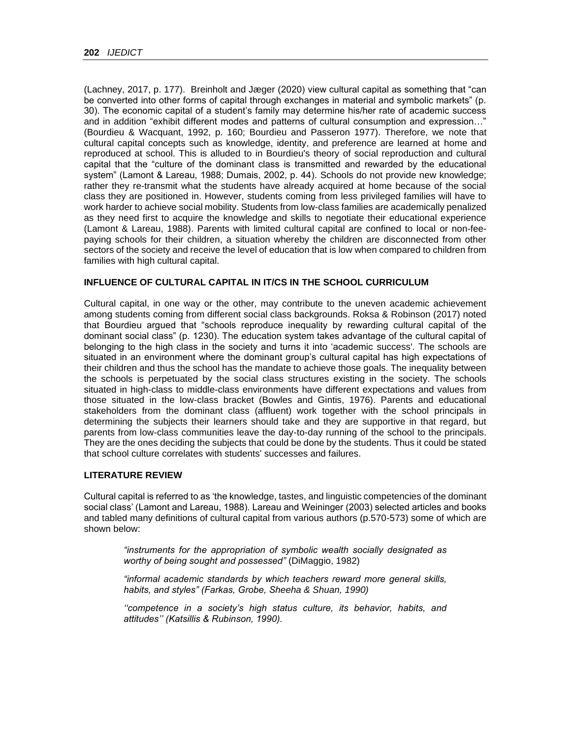(Lachney, 2017, p. 177). Breinholt and Jæger (2020) view cultural capital as something that "can be converted into other forms of capital through exchanges in material and symbolic markets" (p. 30). The economic capital of a student's family may determine his/her rate of academic success and in addition "exhibit different modes and patterns of cultural consumption and expression…" (Bourdieu & Wacquant, 1992, p. 160; Bourdieu and Passeron 1977). Therefore, we note that cultural capital concepts such as knowledge, identity, and preference are learned at home and reproduced at school. This is alluded to in Bourdieu's theory of social reproduction and cultural capital that the "culture of the dominant class is transmitted and rewarded by the educational system" (Lamont & Lareau, 1988; Dumais, 2002, p. 44). Schools do not provide new knowledge; rather they re-transmit what the students have already acquired at home because of the social class they are positioned in. However, students coming from less privileged families will have to work harder to achieve social mobility. Students from low-class families are academically penalized as they need first to acquire the knowledge and skills to negotiate their educational experience (Lamont & Lareau, 1988). Parents with limited cultural capital are confined to local or non-feepaying schools for their children, a situation whereby the children are disconnected from other sectors of the society and receive the level of education that is low when compared to children from families with high cultural capital.

# **INFLUENCE OF CULTURAL CAPITAL IN IT/CS IN THE SCHOOL CURRICULUM**

Cultural capital, in one way or the other, may contribute to the uneven academic achievement among students coming from different social class backgrounds. Roksa & Robinson (2017) noted that Bourdieu argued that "schools reproduce inequality by rewarding cultural capital of the dominant social class" (p. 1230). The education system takes advantage of the cultural capital of belonging to the high class in the society and turns it into 'academic success'. The schools are situated in an environment where the dominant group's cultural capital has high expectations of their children and thus the school has the mandate to achieve those goals. The inequality between the schools is perpetuated by the social class structures existing in the society. The schools situated in high-class to middle-class environments have different expectations and values from those situated in the low-class bracket (Bowles and Gintis, 1976). Parents and educational stakeholders from the dominant class (affluent) work together with the school principals in determining the subjects their learners should take and they are supportive in that regard, but parents from low-class communities leave the day-to-day running of the school to the principals. They are the ones deciding the subjects that could be done by the students. Thus it could be stated that school culture correlates with students' successes and failures.

### **LITERATURE REVIEW**

Cultural capital is referred to as 'the knowledge, tastes, and linguistic competencies of the dominant social class' (Lamont and Lareau, 1988). Lareau and Weininger (2003) selected articles and books and tabled many definitions of cultural capital from various authors (p.570-573) some of which are shown below:

*"instruments for the appropriation of symbolic wealth socially designated as worthy of being sought and possessed"* (DiMaggio, 1982)

*"informal academic standards by which teachers reward more general skills, habits, and styles" (Farkas, Grobe, Sheeha & Shuan, 1990)*

*''competence in a society's high status culture, its behavior, habits, and attitudes'' (Katsillis & Rubinson, 1990).*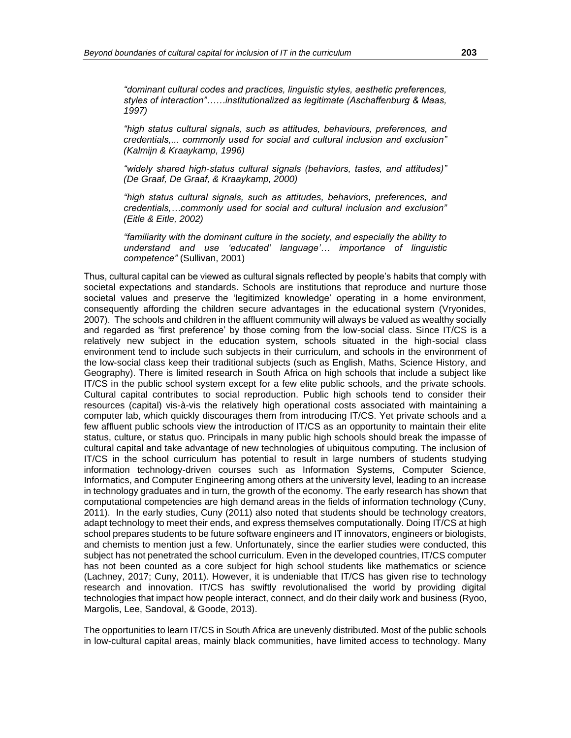*"dominant cultural codes and practices, linguistic styles, aesthetic preferences, styles of interaction"……institutionalized as legitimate (Aschaffenburg & Maas, 1997)*

*"high status cultural signals, such as attitudes, behaviours, preferences, and credentials,... commonly used for social and cultural inclusion and exclusion" (Kalmijn & Kraaykamp, 1996)*

*"widely shared high-status cultural signals (behaviors, tastes, and attitudes)" (De Graaf, De Graaf, & Kraaykamp, 2000)*

*"high status cultural signals, such as attitudes, behaviors, preferences, and credentials,…commonly used for social and cultural inclusion and exclusion" (Eitle & Eitle, 2002)*

*"familiarity with the dominant culture in the society, and especially the ability to understand and use 'educated' language'… importance of linguistic competence"* (Sullivan, 2001)

Thus, cultural capital can be viewed as cultural signals reflected by people's habits that comply with societal expectations and standards. Schools are institutions that reproduce and nurture those societal values and preserve the 'legitimized knowledge' operating in a home environment, consequently affording the children secure advantages in the educational system (Vryonides, 2007). The schools and children in the affluent community will always be valued as wealthy socially and regarded as 'first preference' by those coming from the low-social class. Since IT/CS is a relatively new subject in the education system, schools situated in the high-social class environment tend to include such subjects in their curriculum, and schools in the environment of the low-social class keep their traditional subjects (such as English, Maths, Science History, and Geography). There is limited research in South Africa on high schools that include a subject like IT/CS in the public school system except for a few elite public schools, and the private schools. Cultural capital contributes to social reproduction. Public high schools tend to consider their resources (capital) vis-à-vis the relatively high operational costs associated with maintaining a computer lab, which quickly discourages them from introducing IT/CS. Yet private schools and a few affluent public schools view the introduction of IT/CS as an opportunity to maintain their elite status, culture, or status quo. Principals in many public high schools should break the impasse of cultural capital and take advantage of new technologies of ubiquitous computing. The inclusion of IT/CS in the school curriculum has potential to result in large numbers of students studying information technology-driven courses such as Information Systems, Computer Science, Informatics, and Computer Engineering among others at the university level, leading to an increase in technology graduates and in turn, the growth of the economy. The early research has shown that computational competencies are high demand areas in the fields of information technology (Cuny, 2011). In the early studies, Cuny (2011) also noted that students should be technology creators, adapt technology to meet their ends, and express themselves computationally. Doing IT/CS at high school prepares students to be future software engineers and IT innovators, engineers or biologists, and chemists to mention just a few. Unfortunately, since the earlier studies were conducted, this subject has not penetrated the school curriculum. Even in the developed countries, IT/CS computer has not been counted as a core subject for high school students like mathematics or science (Lachney, 2017; Cuny, 2011). However, it is undeniable that IT/CS has given rise to technology research and innovation. IT/CS has swiftly revolutionalised the world by providing digital technologies that impact how people interact, connect, and do their daily work and business (Ryoo, Margolis, Lee, Sandoval, & Goode, 2013).

The opportunities to learn IT/CS in South Africa are unevenly distributed. Most of the public schools in low-cultural capital areas, mainly black communities, have limited access to technology. Many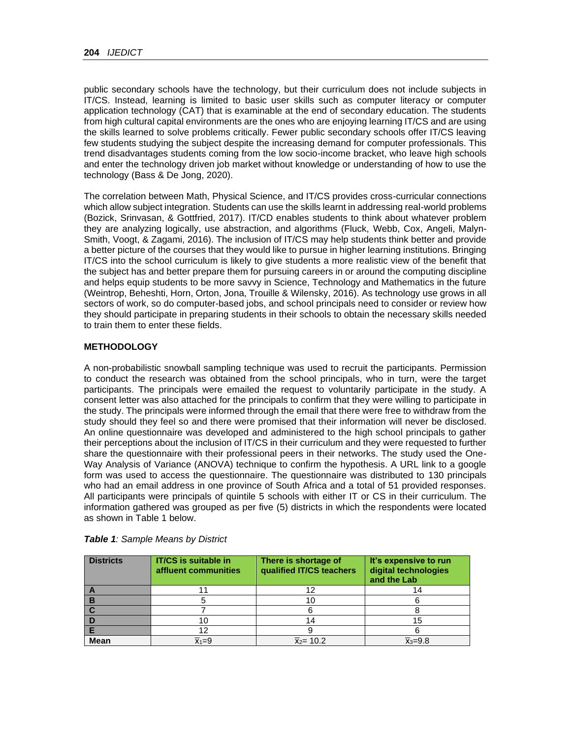public secondary schools have the technology, but their curriculum does not include subjects in IT/CS. Instead, learning is limited to basic user skills such as computer literacy or computer application technology (CAT) that is examinable at the end of secondary education. The students from high cultural capital environments are the ones who are enjoying learning IT/CS and are using the skills learned to solve problems critically. Fewer public secondary schools offer IT/CS leaving few students studying the subject despite the increasing demand for computer professionals. This trend disadvantages students coming from the low socio-income bracket, who leave high schools and enter the technology driven job market without knowledge or understanding of how to use the technology (Bass & De Jong, 2020).

The correlation between Math, Physical Science, and IT/CS provides cross-curricular connections which allow subject integration. Students can use the skills learnt in addressing real-world problems (Bozick, Srinvasan, & Gottfried, 2017). IT/CD enables students to think about whatever problem they are analyzing logically, use abstraction, and algorithms (Fluck, Webb, Cox, Angeli, Malyn-Smith, Voogt, & Zagami, 2016). The inclusion of IT/CS may help students think better and provide a better picture of the courses that they would like to pursue in higher learning institutions. Bringing IT/CS into the school curriculum is likely to give students a more realistic view of the benefit that the subject has and better prepare them for pursuing careers in or around the computing discipline and helps equip students to be more savvy in Science, Technology and Mathematics in the future (Weintrop, Beheshti, Horn, Orton, Jona, Trouille & Wilensky, 2016). As technology use grows in all sectors of work, so do computer-based jobs, and school principals need to consider or review how they should participate in preparing students in their schools to obtain the necessary skills needed to train them to enter these fields.

# **METHODOLOGY**

A non-probabilistic snowball sampling technique was used to recruit the participants. Permission to conduct the research was obtained from the school principals, who in turn, were the target participants. The principals were emailed the request to voluntarily participate in the study. A consent letter was also attached for the principals to confirm that they were willing to participate in the study. The principals were informed through the email that there were free to withdraw from the study should they feel so and there were promised that their information will never be disclosed. An online questionnaire was developed and administered to the high school principals to gather their perceptions about the inclusion of IT/CS in their curriculum and they were requested to further share the questionnaire with their professional peers in their networks. The study used the One-Way Analysis of Variance (ANOVA) technique to confirm the hypothesis. A URL link to a google form was used to access the questionnaire. The questionnaire was distributed to 130 principals who had an email address in one province of South Africa and a total of 51 provided responses. All participants were principals of quintile 5 schools with either IT or CS in their curriculum. The information gathered was grouped as per five (5) districts in which the respondents were located as shown in Table 1 below.

| <b>Districts</b> | <b>IT/CS</b> is suitable in<br>affluent communities | There is shortage of<br>qualified IT/CS teachers | It's expensive to run<br>digital technologies<br>and the Lab |
|------------------|-----------------------------------------------------|--------------------------------------------------|--------------------------------------------------------------|
|                  |                                                     |                                                  |                                                              |
|                  |                                                     | ΊU                                               |                                                              |
|                  |                                                     |                                                  |                                                              |
|                  |                                                     | 14                                               | 15                                                           |
|                  |                                                     |                                                  |                                                              |
| <b>Mean</b>      | $\overline{x}_1 = 9$                                | $\bar{x}_2$ = 10.2                               | $\bar{x}_3 = 9.8$                                            |

|  |  |  | Table 1: Sample Means by District |
|--|--|--|-----------------------------------|
|  |  |  |                                   |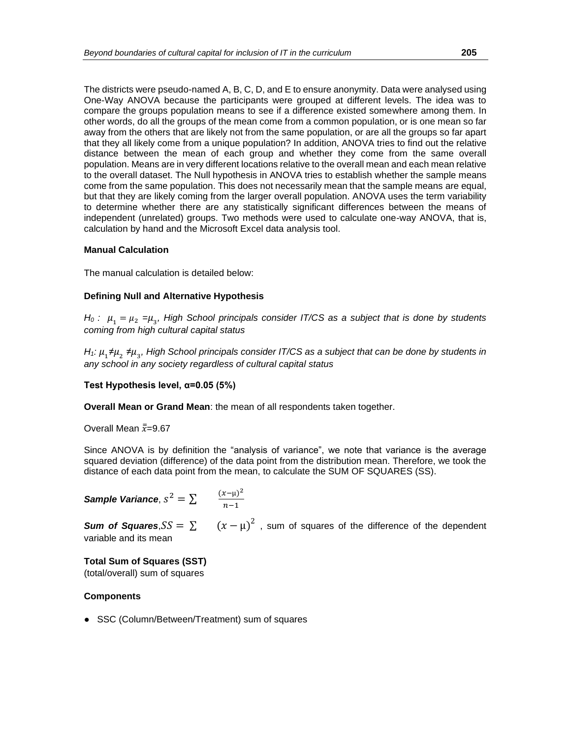The districts were pseudo-named A, B, C, D, and E to ensure anonymity. Data were analysed using One-Way ANOVA because the participants were grouped at different levels. The idea was to compare the groups population means to see if a difference existed somewhere among them. In other words, do all the groups of the mean come from a common population, or is one mean so far away from the others that are likely not from the same population, or are all the groups so far apart that they all likely come from a unique population? In addition, ANOVA tries to find out the relative distance between the mean of each group and whether they come from the same overall population. Means are in very different locations relative to the overall mean and each mean relative to the overall dataset. The Null hypothesis in ANOVA tries to establish whether the sample means come from the same population. This does not necessarily mean that the sample means are equal, but that they are likely coming from the larger overall population. ANOVA uses the term variability to determine whether there are any statistically significant differences between the means of independent (unrelated) groups. Two methods were used to calculate one-way ANOVA, that is, calculation by hand and the Microsoft Excel data analysis tool.

### **Manual Calculation**

The manual calculation is detailed below:

# **Defining Null and Alternative Hypothesis**

*H*<sub>0</sub> :  $\mu_1 = \mu_2 = \mu_3$ , High School principals consider IT/CS as a subject that is done by students *coming from high cultural capital status*

*H*<sub>1</sub>:  $\mu_1$ ≠ $\mu_2$  ≠ $\mu_3$ , High School principals consider IT/CS as a subject that can be done by students in *any school in any society regardless of cultural capital status*

**Test Hypothesis level, α=0.05 (5%)**

**Overall Mean or Grand Mean**: the mean of all respondents taken together.

Overall Mean  $\bar{\bar{x}}$ =9.67

Since ANOVA is by definition the "analysis of variance", we note that variance is the average squared deviation (difference) of the data point from the distribution mean. Therefore, we took the distance of each data point from the mean, to calculate the SUM OF SQUARES (SS).

*Sample Variance*,  $s^2 = \sum_{n=1}^{\infty}$  $n-1$ 

**Sum of Squares**,  $SS = \sum (x - \mu)^2$ , sum of squares of the difference of the dependent variable and its mean

**Total Sum of Squares (SST)** (total/overall) sum of squares

# **Components**

● SSC (Column/Between/Treatment) sum of squares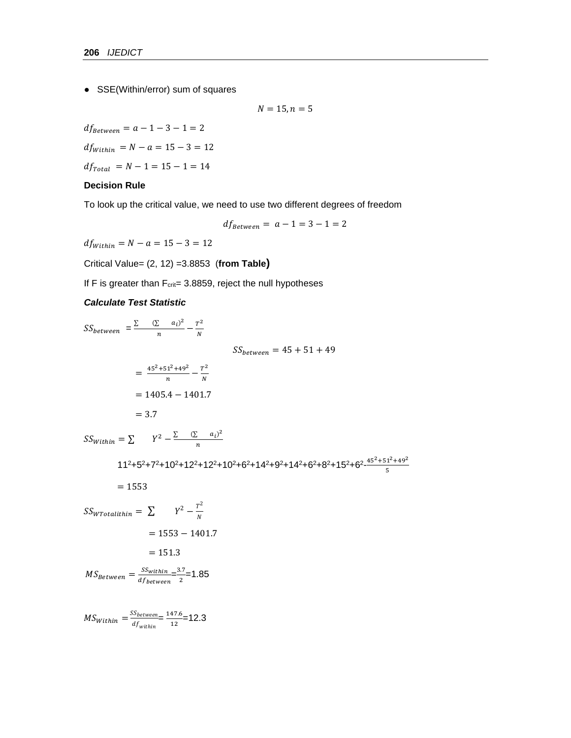● SSE(Within/error) sum of squares

 $N = 15, n = 5$ 

 $df_{Between} = a - 1 - 3 - 1 = 2$  $df_{Within} = N - a = 15 - 3 = 12$  $df_{Total}$  =  $N - 1 = 15 - 1 = 14$ 

# **Decision Rule**

To look up the critical value, we need to use two different degrees of freedom

$$
df_{Between} = a - 1 = 3 - 1 = 2
$$

 $df_{Within} = N - a = 15 - 3 = 12$ 

Critical Value= (2, 12) =3.8853 (**from Table)**

If F is greater than  $F_{crit} = 3.8859$ , reject the null hypotheses

### *Calculate Test Statistic*

 $SS_{between} = \frac{\sum (\sum a_i)^2}{n}$  $\frac{c}{n} - \frac{a_i^2}{N} - \frac{T^2}{N}$  $\frac{1}{N}$  $SS_{between} = 45 + 51 + 49$  $=\frac{45^2+51^2+49^2}{1}$  $\frac{1^2+49^2}{n}-\frac{T^2}{N}$ N  $= 1405.4 - 1401.7$  $= 3.7$  $SS_{Within} = \sum_{Y^2 - \frac{\sum_{(i)} (x_i - a_i)^2}{n}}$  $\frac{u_l}{n}$ 

 $11^2$ +5<sup>2</sup>+7<sup>2</sup>+10<sup>2</sup>+12<sup>2</sup>+12<sup>2</sup>+10<sup>2</sup>+6<sup>2</sup>+14<sup>2</sup>+9<sup>2</sup>+14<sup>2</sup>+6<sup>2</sup>+8<sup>2</sup>+15<sup>2</sup>+6<sup>2</sup>-5<sup>12</sup>+49<sup>2</sup> 5

$$
= 1553
$$

$$
SS_{WTotalithin} = \sum \qquad Y^2 - \frac{T^2}{N}
$$

$$
= 1553 - 1401.7
$$

$$
= 151.3
$$

$$
MS_{Between} = \frac{SS_{within}}{df_{between}} = \frac{3.7}{2} = 1.85
$$

 $MS_{Within} = \frac{SS_{between}}{sf}$  $\frac{dS_{between}}{df_{within}} = \frac{147.6}{12}$  $\frac{47.6}{12}$ =12.3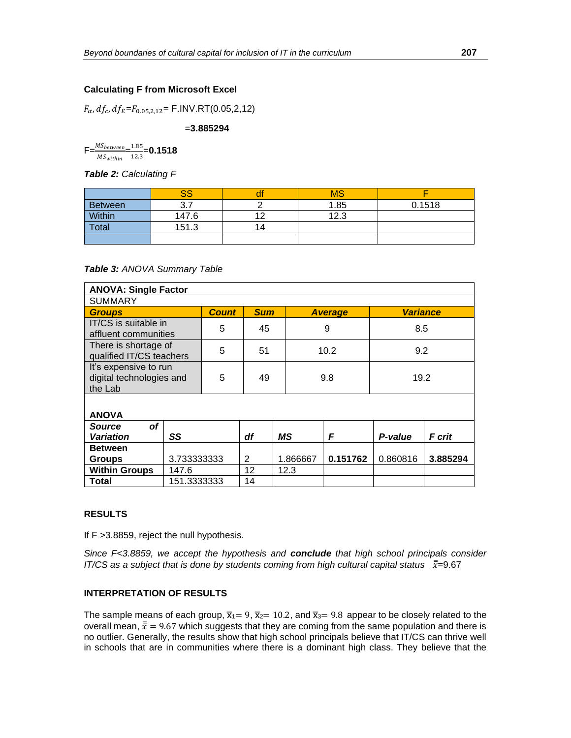# **Calculating F from Microsoft Excel**

 $F_{\alpha}$ ,  $df_c$ ,  $df_E = F_{0.05,2,12} =$  F.INV.RT(0.05,2,12)

=**3.885294**

 $F=\frac{MS_{between}}{MS_{within}}=\frac{1.85}{12.3}$  $\frac{1.85}{12.3}$  = 0.1518

*Table 2: Calculating F*

|                | cc    |    | MS   |        |
|----------------|-------|----|------|--------|
| <b>Between</b> |       |    | 1.85 | 0.1518 |
| Within         | 147.6 | ΑΩ | 12.3 |        |
| Total          | 151.3 | 14 |      |        |
|                |       |    |      |        |

*Table 3: ANOVA Summary Table*

| <b>ANOVA: Single Factor</b>                                  |             |              |            |          |                |          |                 |  |
|--------------------------------------------------------------|-------------|--------------|------------|----------|----------------|----------|-----------------|--|
| <b>SUMMARY</b>                                               |             |              |            |          |                |          |                 |  |
| <b>Groups</b>                                                |             | <b>Count</b> | <b>Sum</b> |          | <b>Average</b> |          | <b>Variance</b> |  |
| IT/CS is suitable in<br>affluent communities                 |             | 5            | 45         |          | 9              |          | 8.5             |  |
| There is shortage of<br>qualified IT/CS teachers             |             | 5            | 51         |          | 10.2           |          | 9.2             |  |
| It's expensive to run<br>digital technologies and<br>the Lab |             | 5            | 49         |          | 9.8            |          | 19.2            |  |
| <b>ANOVA</b>                                                 |             |              |            |          |                |          |                 |  |
| <b>of</b><br><b>Source</b>                                   |             |              |            |          |                |          |                 |  |
| <b>Variation</b>                                             | SS          |              | df         | ΜS       | F              | P-value  | F crit          |  |
| <b>Between</b>                                               |             |              |            |          |                |          |                 |  |
| <b>Groups</b>                                                | 3.733333333 |              | 2          | 1.866667 | 0.151762       | 0.860816 | 3.885294        |  |
| <b>Within Groups</b><br>147.6                                |             |              | 12         | 12.3     |                |          |                 |  |
| Total                                                        | 151.3333333 |              | 14         |          |                |          |                 |  |

#### **RESULTS**

If F >3.8859, reject the null hypothesis.

*Since F<3.8859, we accept the hypothesis and conclude that high school principals consider IT/CS as a subject that is done by students coming from high cultural capital status*  $\bar{x}$ =9.67

#### **INTERPRETATION OF RESULTS**

The sample means of each group,  $\overline{x}_1 = 9$ ,  $\overline{x}_2 = 10.2$ , and  $\overline{x}_3 = 9.8$  appear to be closely related to the overall mean,  $\bar{\bar{x}} = 9.67$  which suggests that they are coming from the same population and there is no outlier. Generally, the results show that high school principals believe that IT/CS can thrive well in schools that are in communities where there is a dominant high class. They believe that the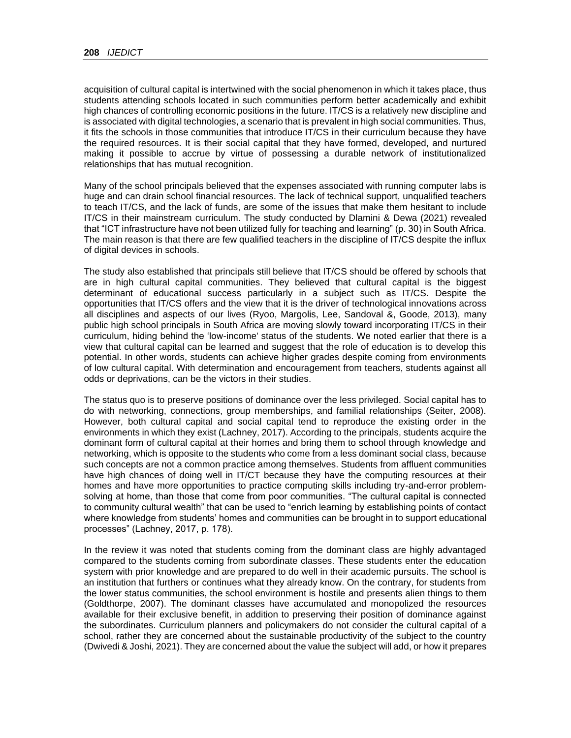acquisition of cultural capital is intertwined with the social phenomenon in which it takes place, thus students attending schools located in such communities perform better academically and exhibit high chances of controlling economic positions in the future. IT/CS is a relatively new discipline and is associated with digital technologies, a scenario that is prevalent in high social communities. Thus, it fits the schools in those communities that introduce IT/CS in their curriculum because they have the required resources. It is their social capital that they have formed, developed, and nurtured making it possible to accrue by virtue of possessing a durable network of institutionalized relationships that has mutual recognition.

Many of the school principals believed that the expenses associated with running computer labs is huge and can drain school financial resources. The lack of technical support, unqualified teachers to teach IT/CS, and the lack of funds, are some of the issues that make them hesitant to include IT/CS in their mainstream curriculum. The study conducted by Dlamini & Dewa (2021) revealed that "ICT infrastructure have not been utilized fully for teaching and learning" (p. 30) in South Africa. The main reason is that there are few qualified teachers in the discipline of IT/CS despite the influx of digital devices in schools.

The study also established that principals still believe that IT/CS should be offered by schools that are in high cultural capital communities. They believed that cultural capital is the biggest determinant of educational success particularly in a subject such as IT/CS. Despite the opportunities that IT/CS offers and the view that it is the driver of technological innovations across all disciplines and aspects of our lives (Ryoo, Margolis, Lee, Sandoval &, Goode, 2013), many public high school principals in South Africa are moving slowly toward incorporating IT/CS in their curriculum, hiding behind the 'low-income' status of the students. We noted earlier that there is a view that cultural capital can be learned and suggest that the role of education is to develop this potential. In other words, students can achieve higher grades despite coming from environments of low cultural capital. With determination and encouragement from teachers, students against all odds or deprivations, can be the victors in their studies.

The status quo is to preserve positions of dominance over the less privileged. Social capital has to do with networking, connections, group memberships, and familial relationships (Seiter, 2008). However, both cultural capital and social capital tend to reproduce the existing order in the environments in which they exist (Lachney, 2017). According to the principals, students acquire the dominant form of cultural capital at their homes and bring them to school through knowledge and networking, which is opposite to the students who come from a less dominant social class, because such concepts are not a common practice among themselves. Students from affluent communities have high chances of doing well in IT/CT because they have the computing resources at their homes and have more opportunities to practice computing skills including try-and-error problemsolving at home, than those that come from poor communities. "The cultural capital is connected to community cultural wealth" that can be used to "enrich learning by establishing points of contact where knowledge from students' homes and communities can be brought in to support educational processes" (Lachney, 2017, p. 178).

In the review it was noted that students coming from the dominant class are highly advantaged compared to the students coming from subordinate classes. These students enter the education system with prior knowledge and are prepared to do well in their academic pursuits. The school is an institution that furthers or continues what they already know. On the contrary, for students from the lower status communities, the school environment is hostile and presents alien things to them (Goldthorpe, 2007). The dominant classes have accumulated and monopolized the resources available for their exclusive benefit, in addition to preserving their position of dominance against the subordinates. Curriculum planners and policymakers do not consider the cultural capital of a school, rather they are concerned about the sustainable productivity of the subject to the country (Dwivedi & Joshi, 2021). They are concerned about the value the subject will add, or how it prepares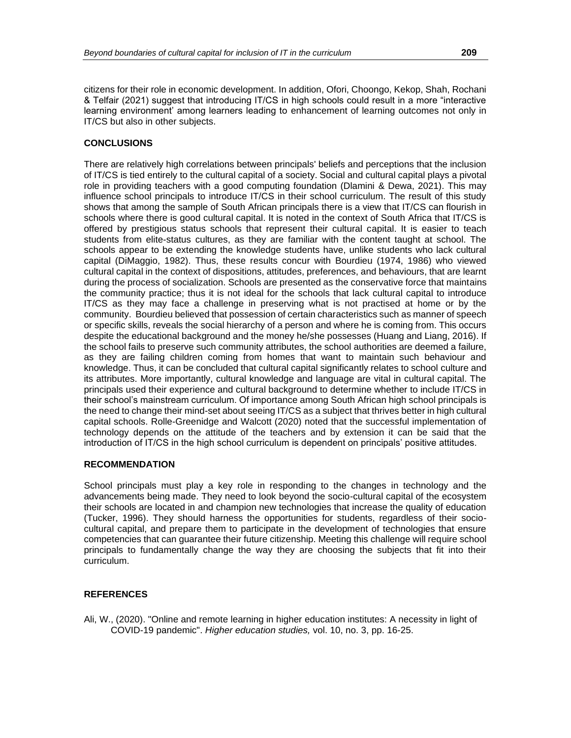citizens for their role in economic development. In addition, Ofori, Choongo, Kekop, Shah, Rochani & Telfair (2021) suggest that introducing IT/CS in high schools could result in a more "interactive learning environment' among learners leading to enhancement of learning outcomes not only in IT/CS but also in other subjects.

#### **CONCLUSIONS**

There are relatively high correlations between principals' beliefs and perceptions that the inclusion of IT/CS is tied entirely to the cultural capital of a society. Social and cultural capital plays a pivotal role in providing teachers with a good computing foundation (Dlamini & Dewa, 2021). This may influence school principals to introduce IT/CS in their school curriculum. The result of this study shows that among the sample of South African principals there is a view that IT/CS can flourish in schools where there is good cultural capital. It is noted in the context of South Africa that IT/CS is offered by prestigious status schools that represent their cultural capital. It is easier to teach students from elite-status cultures, as they are familiar with the content taught at school. The schools appear to be extending the knowledge students have, unlike students who lack cultural capital (DiMaggio, 1982). Thus, these results concur with Bourdieu (1974, 1986) who viewed cultural capital in the context of dispositions, attitudes, preferences, and behaviours, that are learnt during the process of socialization. Schools are presented as the conservative force that maintains the community practice; thus it is not ideal for the schools that lack cultural capital to introduce IT/CS as they may face a challenge in preserving what is not practised at home or by the community. Bourdieu believed that possession of certain characteristics such as manner of speech or specific skills, reveals the social hierarchy of a person and where he is coming from. This occurs despite the educational background and the money he/she possesses (Huang and Liang, 2016). If the school fails to preserve such community attributes, the school authorities are deemed a failure, as they are failing children coming from homes that want to maintain such behaviour and knowledge. Thus, it can be concluded that cultural capital significantly relates to school culture and its attributes. More importantly, cultural knowledge and language are vital in cultural capital. The principals used their experience and cultural background to determine whether to include IT/CS in their school's mainstream curriculum. Of importance among South African high school principals is the need to change their mind-set about seeing IT/CS as a subject that thrives better in high cultural capital schools. Rolle-Greenidge and Walcott (2020) noted that the successful implementation of technology depends on the attitude of the teachers and by extension it can be said that the introduction of IT/CS in the high school curriculum is dependent on principals' positive attitudes.

#### **RECOMMENDATION**

School principals must play a key role in responding to the changes in technology and the advancements being made. They need to look beyond the socio-cultural capital of the ecosystem their schools are located in and champion new technologies that increase the quality of education (Tucker, 1996). They should harness the opportunities for students, regardless of their sociocultural capital, and prepare them to participate in the development of technologies that ensure competencies that can guarantee their future citizenship. Meeting this challenge will require school principals to fundamentally change the way they are choosing the subjects that fit into their curriculum.

### **REFERENCES**

Ali, W., (2020). "Online and remote learning in higher education institutes: A necessity in light of COVID-19 pandemic". *Higher education studies,* vol. 10, no. 3, pp. 16-25.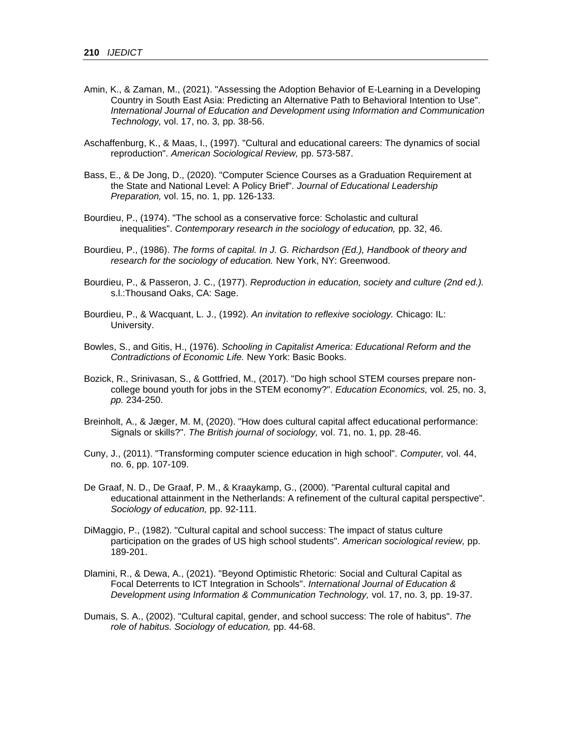- Amin, K., & Zaman, M., (2021). "Assessing the Adoption Behavior of E-Learning in a Developing Country in South East Asia: Predicting an Alternative Path to Behavioral Intention to Use". *International Journal of Education and Development using Information and Communication Technology,* vol. 17, no. 3*,* pp. 38-56.
- Aschaffenburg, K., & Maas, I., (1997). "Cultural and educational careers: The dynamics of social reproduction". *American Sociological Review,* pp. 573-587.
- Bass, E., & De Jong, D., (2020). "Computer Science Courses as a Graduation Requirement at the State and National Level: A Policy Brief". *Journal of Educational Leadership Preparation,* vol. 15, no. 1*,* pp. 126-133.
- Bourdieu, P., (1974). "The school as a conservative force: Scholastic and cultural inequalities". *Contemporary research in the sociology of education,* pp. 32, 46.
- Bourdieu, P., (1986). *The forms of capital. In J. G. Richardson (Ed.), Handbook of theory and research for the sociology of education.* New York, NY: Greenwood.
- Bourdieu, P., & Passeron, J. C., (1977). *Reproduction in education, society and culture (2nd ed.).*  s.l.:Thousand Oaks, CA: Sage.
- Bourdieu, P., & Wacquant, L. J., (1992). *An invitation to reflexive sociology.* Chicago: IL: University.
- Bowles, S., and Gitis, H., (1976). *Schooling in Capitalist America: Educational Reform and the Contradictions of Economic Life.* New York: Basic Books.
- Bozick, R., Srinivasan, S., & Gottfried, M., (2017). "Do high school STEM courses prepare noncollege bound youth for jobs in the STEM economy?". *Education Economics,* vol. 25, no. 3, *pp.* 234-250.
- Breinholt, A., & Jæger, M. M, (2020). "How does cultural capital affect educational performance: Signals or skills?". *The British journal of sociology,* vol. 71, no. 1, pp. 28-46.
- Cuny, J., (2011). "Transforming computer science education in high school". *Computer,* vol. 44, no. 6, pp. 107-109.
- De Graaf, N. D., De Graaf, P. M., & Kraaykamp, G., (2000). "Parental cultural capital and educational attainment in the Netherlands: A refinement of the cultural capital perspective". *Sociology of education,* pp. 92-111.
- DiMaggio, P., (1982). "Cultural capital and school success: The impact of status culture participation on the grades of US high school students". *American sociological review,* pp. 189-201.
- Dlamini, R., & Dewa, A., (2021). "Beyond Optimistic Rhetoric: Social and Cultural Capital as Focal Deterrents to ICT Integration in Schools". *International Journal of Education & Development using Information & Communication Technology,* vol. 17, no. 3*,* pp. 19-37.
- Dumais, S. A., (2002). "Cultural capital, gender, and school success: The role of habitus". *The role of habitus. Sociology of education,* pp. 44-68.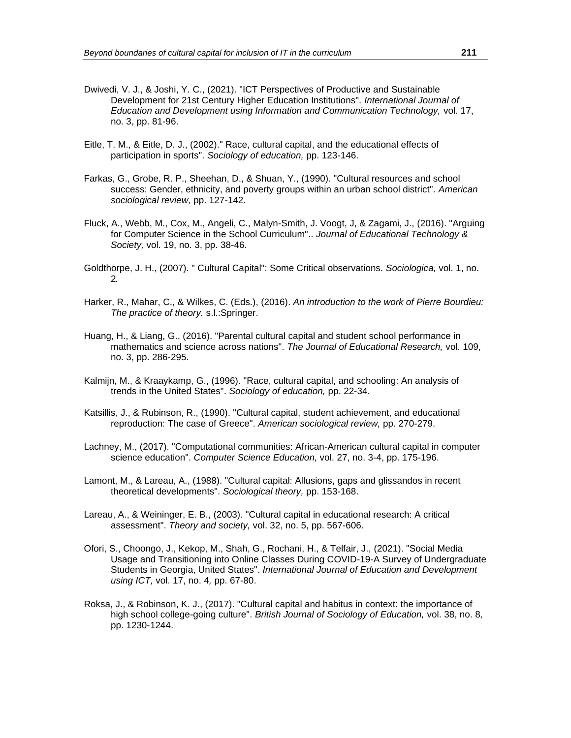- Dwivedi, V. J., & Joshi, Y. C., (2021). "ICT Perspectives of Productive and Sustainable Development for 21st Century Higher Education Institutions". *International Journal of Education and Development using Information and Communication Technology,* vol. 17, no. 3, pp. 81-96.
- Eitle, T. M., & Eitle, D. J., (2002)." Race, cultural capital, and the educational effects of participation in sports". *Sociology of education,* pp. 123-146.
- Farkas, G., Grobe, R. P., Sheehan, D., & Shuan, Y., (1990). "Cultural resources and school success: Gender, ethnicity, and poverty groups within an urban school district". *American sociological review,* pp. 127-142.
- Fluck, A., Webb, M., Cox, M., Angeli, C., Malyn-Smith, J. Voogt, J, & Zagami, J., (2016). "Arguing for Computer Science in the School Curriculum".. *Journal of Educational Technology & Society,* vol. 19, no. 3, pp. 38-46.
- Goldthorpe, J. H., (2007). " Cultural Capital": Some Critical observations. *Sociologica,* vol. 1, no. 2*.*
- Harker, R., Mahar, C., & Wilkes, C. (Eds.), (2016). *An introduction to the work of Pierre Bourdieu: The practice of theory.* s.l.:Springer.
- Huang, H., & Liang, G., (2016). "Parental cultural capital and student school performance in mathematics and science across nations". *The Journal of Educational Research,* vol. 109, no. 3, pp. 286-295.
- Kalmijn, M., & Kraaykamp, G., (1996). "Race, cultural capital, and schooling: An analysis of trends in the United States". *Sociology of education,* pp. 22-34.
- Katsillis, J., & Rubinson, R., (1990). "Cultural capital, student achievement, and educational reproduction: The case of Greece". *American sociological review,* pp. 270-279.
- Lachney, M., (2017). "Computational communities: African-American cultural capital in computer science education". *Computer Science Education,* vol. 27, no. 3-4, pp. 175-196.
- Lamont, M., & Lareau, A., (1988). "Cultural capital: Allusions, gaps and glissandos in recent theoretical developments". *Sociological theory,* pp. 153-168.
- Lareau, A., & Weininger, E. B., (2003). "Cultural capital in educational research: A critical assessment". *Theory and society,* vol. 32, no. 5, pp. 567-606.
- Ofori, S., Choongo, J., Kekop, M., Shah, G., Rochani, H., & Telfair, J., (2021). "Social Media Usage and Transitioning into Online Classes During COVID-19-A Survey of Undergraduate Students in Georgia, United States". *International Journal of Education and Development using ICT,* vol. 17, no. 4*,* pp. 67-80.
- Roksa, J., & Robinson, K. J., (2017). "Cultural capital and habitus in context: the importance of high school college-going culture". *British Journal of Sociology of Education,* vol. 38, no. 8*,*  pp. 1230-1244.